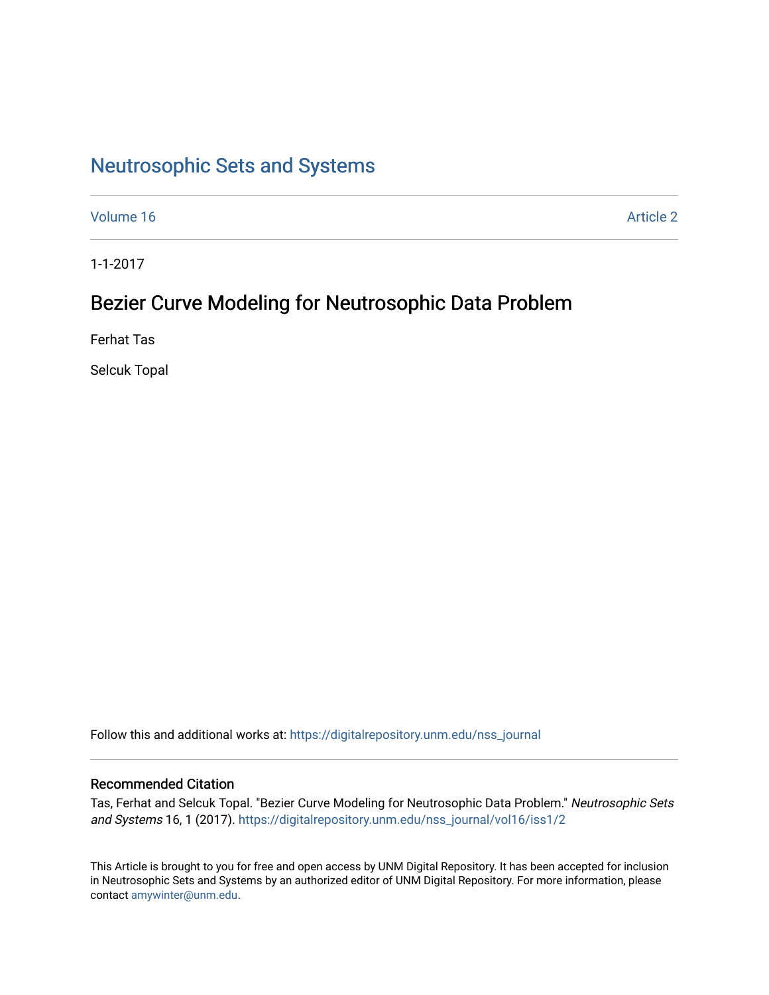# [Neutrosophic Sets and Systems](https://digitalrepository.unm.edu/nss_journal)

[Volume 16](https://digitalrepository.unm.edu/nss_journal/vol16) [Article 2](https://digitalrepository.unm.edu/nss_journal/vol16/iss1/2) 

1-1-2017

# Bezier Curve Modeling for Neutrosophic Data Problem

Ferhat Tas

Selcuk Topal

Follow this and additional works at: [https://digitalrepository.unm.edu/nss\\_journal](https://digitalrepository.unm.edu/nss_journal?utm_source=digitalrepository.unm.edu%2Fnss_journal%2Fvol16%2Fiss1%2F2&utm_medium=PDF&utm_campaign=PDFCoverPages) 

#### Recommended Citation

Tas, Ferhat and Selcuk Topal. "Bezier Curve Modeling for Neutrosophic Data Problem." Neutrosophic Sets and Systems 16, 1 (2017). [https://digitalrepository.unm.edu/nss\\_journal/vol16/iss1/2](https://digitalrepository.unm.edu/nss_journal/vol16/iss1/2?utm_source=digitalrepository.unm.edu%2Fnss_journal%2Fvol16%2Fiss1%2F2&utm_medium=PDF&utm_campaign=PDFCoverPages) 

This Article is brought to you for free and open access by UNM Digital Repository. It has been accepted for inclusion in Neutrosophic Sets and Systems by an authorized editor of UNM Digital Repository. For more information, please contact [amywinter@unm.edu](mailto:amywinter@unm.edu).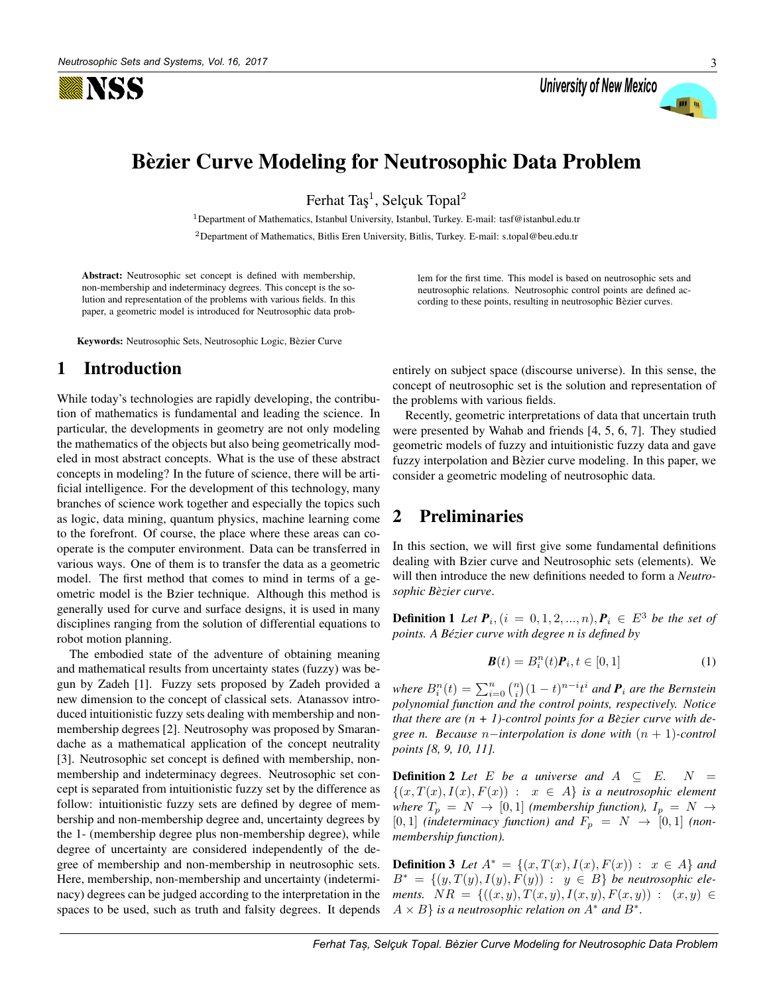

University of New Mexico



## Bèzier Curve Modeling for Neutrosophic Data Problem

Ferhat Taş<sup>1</sup>, Selçuk Topal<sup>2</sup>

<sup>1</sup>Department of Mathematics, Istanbul University, Istanbul, Turkey. E-mail: tasf@istanbul.edu.tr <sup>2</sup>Department of Mathematics, Bitlis Eren University, Bitlis, Turkey. E-mail: s.topal@beu.edu.tr

Abstract: Neutrosophic set concept is defined with membership, non-membership and indeterminacy degrees. This concept is the solution and representation of the problems with various fields. In this paper, a geometric model is introduced for Neutrosophic data prob-

Keywords: Neutrosophic Sets, Neutrosophic Logic, Bèzier Curve

#### 1 Introduction

While today's technologies are rapidly developing, the contribution of mathematics is fundamental and leading the science. In particular, the developments in geometry are not only modeling the mathematics of the objects but also being geometrically modeled in most abstract concepts. What is the use of these abstract concepts in modeling? In the future of science, there will be artificial intelligence. For the development of this technology, many branches of science work together and especially the topics such as logic, data mining, quantum physics, machine learning come to the forefront. Of course, the place where these areas can cooperate is the computer environment. Data can be transferred in various ways. One of them is to transfer the data as a geometric model. The first method that comes to mind in terms of a geometric model is the Bzier technique. Although this method is generally used for curve and surface designs, it is used in many disciplines ranging from the solution of differential equations to robot motion planning.

The embodied state of the adventure of obtaining meaning and mathematical results from uncertainty states (fuzzy) was begun by Zadeh [1]. Fuzzy sets proposed by Zadeh provided a new dimension to the concept of classical sets. Atanassov introduced intuitionistic fuzzy sets dealing with membership and nonmembership degrees [2]. Neutrosophy was proposed by Smarandache as a mathematical application of the concept neutrality [3]. Neutrosophic set concept is defined with membership, nonmembership and indeterminacy degrees. Neutrosophic set concept is separated from intuitionistic fuzzy set by the difference as follow: intuitionistic fuzzy sets are defined by degree of membership and non-membership degree and, uncertainty degrees by the 1- (membership degree plus non-membership degree), while degree of uncertainty are considered independently of the degree of membership and non-membership in neutrosophic sets. Here, membership, non-membership and uncertainty (indeterminacy) degrees can be judged according to the interpretation in the spaces to be used, such as truth and falsity degrees. It depends lem for the first time. This model is based on neutrosophic sets and neutrosophic relations. Neutrosophic control points are defined according to these points, resulting in neutrosophic Bèzier curves.

entirely on subject space (discourse universe). In this sense, the concept of neutrosophic set is the solution and representation of the problems with various fields.

Recently, geometric interpretations of data that uncertain truth were presented by Wahab and friends [4, 5, 6, 7]. They studied geometric models of fuzzy and intuitionistic fuzzy data and gave fuzzy interpolation and Bèzier curve modeling. In this paper, we consider a geometric modeling of neutrosophic data.

#### 2 Preliminaries

In this section, we will first give some fundamental definitions dealing with Bzier curve and Neutrosophic sets (elements). We will then introduce the new definitions needed to form a *Neutrosophic Bezier curve `* .

**Definition 1** *Let*  $P_i$ ,  $(i = 0, 1, 2, ..., n)$ ,  $P_i$  ∈  $E^3$  *be the set of points. A Bezier curve with degree n is defined by ´*

$$
\boldsymbol{B}(t) = B_i^n(t)\boldsymbol{P}_i, t \in [0, 1] \tag{1}
$$

where  $B_i^n(t) = \sum_{i=0}^n {n \choose i} (1-t)^{n-i} t^i$  and  $P_i$  are the Bernstein *polynomial function and the control points, respectively. Notice that there are*  $(n + 1)$ *-control points for a Bèzier curve with degree n. Because* n−*interpolation is done with* (n + 1)*-control points [8, 9, 10, 11].*

**Definition 2** *Let*  $E$  *be a universe and*  $A \subseteq E$ *.*  $N =$  $\{(x, T(x), I(x), F(x)) : x \in A\}$  *is a neutrosophic element where*  $T_p = N \rightarrow [0, 1]$  *(membership function),*  $I_p = N \rightarrow$  $[0, 1]$  *(indeterminacy function) and*  $F_p = N \rightarrow [0, 1]$  *(nonmembership function).*

**Definition 3** *Let*  $A^* = \{(x, T(x), I(x), F(x)) : x \in A\}$  *and*  $B^* = \{(y,T(y),I(y),F(y)) : y \in B\}$  *be neutrosophic elements.*  $NR = \{((x, y), T(x, y), I(x, y), F(x, y)) : (x, y) \in$  $A \times B$  *is a neutrosophic relation on*  $A^*$  *and*  $B^*$ *.*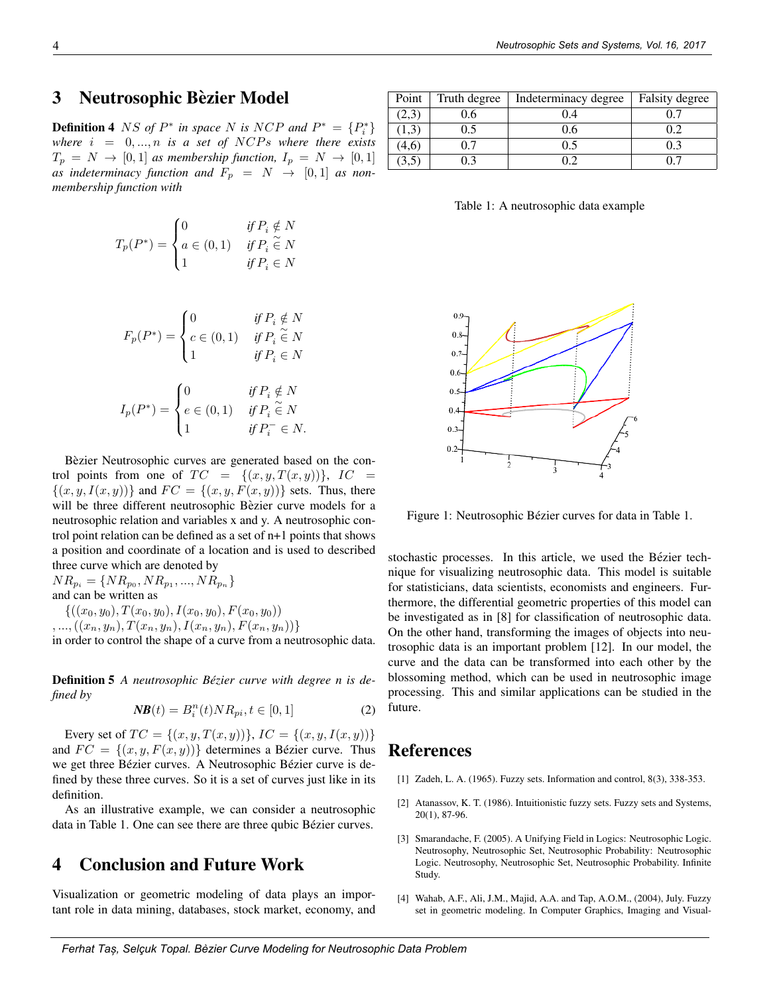### 3 Neutrosophic Bèzier Model

**Definition 4** NS of  $P^*$  in space N is NCP and  $P^* = \{P_i^*\}$ *where*  $i = 0, ..., n$  *is a set of* NCPs where there exists  $T_p = N \rightarrow [0, 1]$  *as membership function,*  $I_p = N \rightarrow [0, 1]$ as indeterminacy function and  $F_p = N \rightarrow [0,1]$  as non*membership function with*

$$
T_p(P^*) = \begin{cases} 0 & \text{if } P_i \notin N \\ a \in (0,1) & \text{if } P_i \in N \\ 1 & \text{if } P_i \in N \end{cases}
$$

$$
F_p(P^*) = \begin{cases} 0 & \text{if } P_i \notin N \\ c \in (0,1) & \text{if } P_i \in N \\ 1 & \text{if } P_i \in N \end{cases}
$$

$$
I_p(P^*) = \begin{cases} 0 & \text{if } P_i \notin N \\ e \in (0,1) & \text{if } P_i \in N \\ 1 & \text{if } P_i^- \in N. \end{cases}
$$

Bèzier Neutrosophic curves are generated based on the control points from one of  $TC = \{(x, y, T(x, y))\}, IC =$  $\{(x, y, I(x, y))\}$  and  $FC = \{(x, y, F(x, y))\}$  sets. Thus, there will be three different neutrosophic Bèzier curve models for a neutrosophic relation and variables x and y. A neutrosophic control point relation can be defined as a set of n+1 points that shows a position and coordinate of a location and is used to described three curve which are denoted by

 $NR_{p_i} = \{NR_{p_0}, NR_{p_1}, ..., NR_{p_n}\}\$ and can be written as  $\{((x_0, y_0), T(x_0, y_0), I(x_0, y_0), F(x_0, y_0))\}$ 

 $, ..., ((x_n, y_n), T(x_n, y_n), I(x_n, y_n), F(x_n, y_n))\}$ 

in order to control the shape of a curve from a neutrosophic data.

Definition 5 *A neutrosophic Bezier curve with degree n is de- ´ fined by*

$$
NB(t) = B_i^n(t)NR_{pi}, t \in [0, 1]
$$
\n(2)

Every set of  $TC = \{(x, y, T(x, y))\}, IC = \{(x, y, I(x, y))\}$ and  $FC = \{(x, y, F(x, y))\}$  determines a Bézier curve. Thus we get three Bézier curves. A Neutrosophic Bézier curve is defined by these three curves. So it is a set of curves just like in its definition.

As an illustrative example, we can consider a neutrosophic data in Table 1. One can see there are three qubic Bézier curves.

### 4 Conclusion and Future Work

Visualization or geometric modeling of data plays an important role in data mining, databases, stock market, economy, and

| Point | Truth degree | Indeterminacy degree | Falsity degree |
|-------|--------------|----------------------|----------------|
| (2,3) | 0.6          | 0.4                  |                |
| 1,3   | 0.5          | 0.6                  | 0.2            |
| (4,6) |              | 0.5                  | 0.3            |
| 3,5   |              |                      |                |

Table 1: A neutrosophic data example



Figure 1: Neutrosophic Bézier curves for data in Table 1.

stochastic processes. In this article, we used the Bézier technique for visualizing neutrosophic data. This model is suitable for statisticians, data scientists, economists and engineers. Furthermore, the differential geometric properties of this model can be investigated as in [8] for classification of neutrosophic data. On the other hand, transforming the images of objects into neutrosophic data is an important problem [12]. In our model, the curve and the data can be transformed into each other by the blossoming method, which can be used in neutrosophic image processing. This and similar applications can be studied in the future.

#### References

- [1] Zadeh, L. A. (1965). Fuzzy sets. Information and control, 8(3), 338-353.
- [2] Atanassov, K. T. (1986). Intuitionistic fuzzy sets. Fuzzy sets and Systems, 20(1), 87-96.
- [3] Smarandache, F. (2005). A Unifying Field in Logics: Neutrosophic Logic. Neutrosophy, Neutrosophic Set, Neutrosophic Probability: Neutrosophic Logic. Neutrosophy, Neutrosophic Set, Neutrosophic Probability. Infinite Study.
- [4] Wahab, A.F., Ali, J.M., Majid, A.A. and Tap, A.O.M., (2004), July. Fuzzy set in geometric modeling. In Computer Graphics, Imaging and Visual-